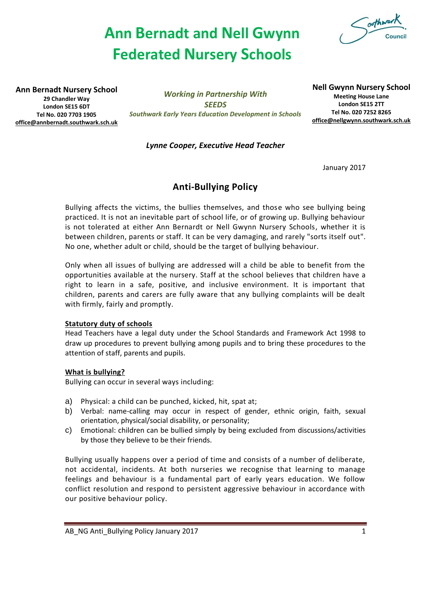# **Ann Bernadt and Nell Gwynn Federated Nursery Schools**



**Ann Bernadt Nursery School 29 Chandler Way London SE15 6DT Tel No. 020 7703 1905 [office@annbernadt.southwark.sch.uk](mailto:office@annbernadt.southwark.sch.uk)**

*Working in Partnership With SEEDS Southwark Early Years Education Development in Schools* **Nell Gwynn Nursery School Meeting House Lane London SE15 2TT Tel No. 020 7252 8265 [office@nellgwynn.southwark.sch.uk](mailto:office@nellgwynn.southwark.sch.uk)**

### *Lynne Cooper, Executive Head Teacher*

January 2017

## **Anti-Bullying Policy**

Bullying affects the victims, the bullies themselves, and those who see bullying being practiced. It is not an inevitable part of school life, or of growing up. Bullying behaviour is not tolerated at either Ann Bernardt or Nell Gwynn Nursery Schools, whether it is between children, parents or staff. It can be very damaging, and rarely "sorts itself out". No one, whether adult or child, should be the target of bullying behaviour.

Only when all issues of bullying are addressed will a child be able to benefit from the opportunities available at the nursery. Staff at the school believes that children have a right to learn in a safe, positive, and inclusive environment. It is important that children, parents and carers are fully aware that any bullying complaints will be dealt with firmly, fairly and promptly.

#### **Statutory duty of schools**

Head Teachers have a legal duty under the School Standards and Framework Act 1998 to draw up procedures to prevent bullying among pupils and to bring these procedures to the attention of staff, parents and pupils.

#### **What is bullying?**

Bullying can occur in several ways including:

- a) Physical: a child can be punched, kicked, hit, spat at;
- b) Verbal: name-calling may occur in respect of gender, ethnic origin, faith, sexual orientation, physical/social disability, or personality;
- c) Emotional: children can be bullied simply by being excluded from discussions/activities by those they believe to be their friends.

Bullying usually happens over a period of time and consists of a number of deliberate, not accidental, incidents. At both nurseries we recognise that learning to manage feelings and behaviour is a fundamental part of early years education. We follow conflict resolution and respond to persistent aggressive behaviour in accordance with our positive behaviour policy.